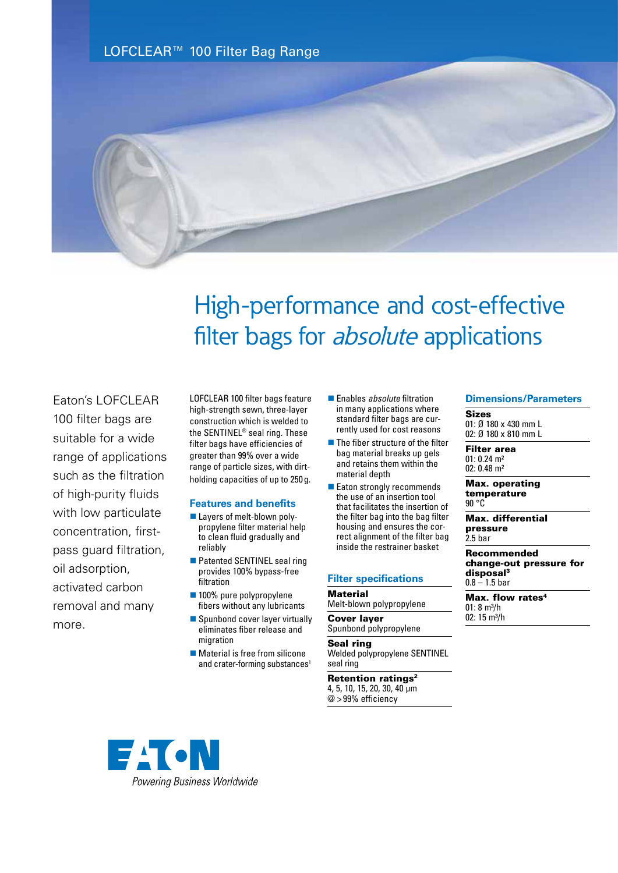LOFCLEAR™ 100 Filter Bag Range



# High-performance and cost-effective filter bags for *absolute* applications

Eaton's LOFCLEAR 100 filter bags are suitable for a wide range of applications such as the filtration of high-purity fluids with low particulate concentration, firstpass guard filtration, oil adsorption, activated carbon removal and many more.

LOFCLEAR 100 filter bags feature high-strength sewn, three-layer construction which is welded to the SENTINEL® seal ring. These filter bags have efficiencies of greater than 99% over a wide range of particle sizes, with dirtholding capacities of up to 250 g.

### **Features and benefits**

- Layers of melt-blown polypropylene filter material help to clean fluid gradually and reliably
- Patented SENTINEL seal ring provides 100% bypass-free filtration
- 100% pure polypropylene fibers without any lubricants
- $\blacksquare$  Spunbond cover layer virtually eliminates fiber release and migration
- $\blacksquare$  Material is free from silicone and crater-forming substances<sup>1</sup>
- Enables *absolute* filtration in many applications where standard filter bags are currently used for cost reasons
- $\blacksquare$  The fiber structure of the filter bag material breaks up gels and retains them within the material depth
- Eaton strongly recommends the use of an insertion tool that facilitates the insertion of the filter bag into the bag filter housing and ensures the correct alignment of the filter bag inside the restrainer basket

#### **Filter specifications**

#### **Material**

Melt-blown polypropylene

Cover layer Spunbond polypropylene

Seal ring Welded polypropylene SENTINEL seal ring

Retention ratings<sup>2</sup> 4, 5, 10, 15, 20, 30, 40 μm @ >99% efficiency

#### **Dimensions/Parameters**

Sizes 01: Ø 180 x 430 mm L 02: Ø 180 x 810 mm L

Filter area  $01: 0.24$  m<sup>2</sup> 02: 0.48 m²

Max. operating temperature 90 °C

Max. differential pressure 2.5 bar

Recommended change-out pressure for disposal<sup>3</sup>  $0.8 - 1.5$  bar

Max. flow rates<sup>4</sup>  $01: 8 m<sup>3</sup>/h$ 02:  $15 \text{ m}^3/h$